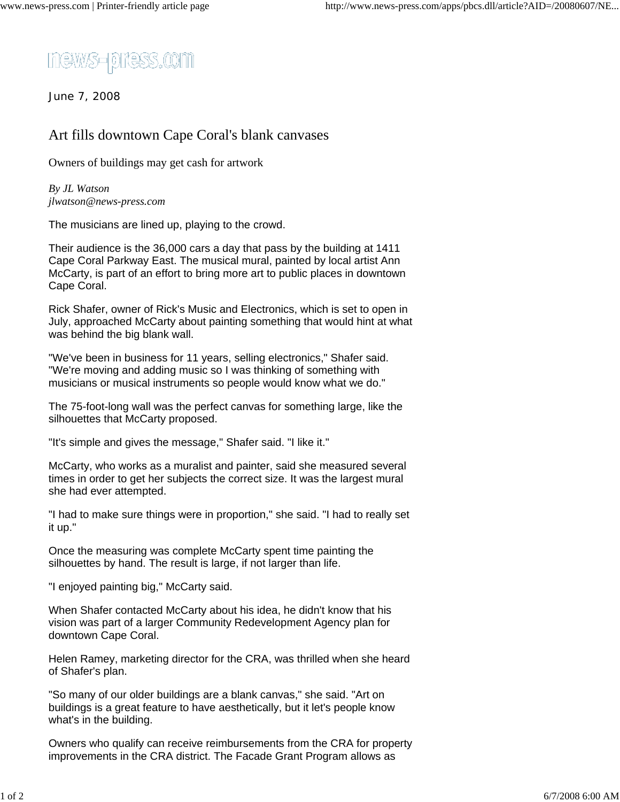

June 7, 2008

## Art fills downtown Cape Coral's blank canvases

Owners of buildings may get cash for artwork

*By JL Watson jlwatson@news-press.com*

The musicians are lined up, playing to the crowd.

Their audience is the 36,000 cars a day that pass by the building at 1411 Cape Coral Parkway East. The musical mural, painted by local artist Ann McCarty, is part of an effort to bring more art to public places in downtown Cape Coral.

Rick Shafer, owner of Rick's Music and Electronics, which is set to open in July, approached McCarty about painting something that would hint at what was behind the big blank wall.

"We've been in business for 11 years, selling electronics," Shafer said. "We're moving and adding music so I was thinking of something with musicians or musical instruments so people would know what we do."

The 75-foot-long wall was the perfect canvas for something large, like the silhouettes that McCarty proposed.

"It's simple and gives the message," Shafer said. "I like it."

McCarty, who works as a muralist and painter, said she measured several times in order to get her subjects the correct size. It was the largest mural she had ever attempted.

"I had to make sure things were in proportion," she said. "I had to really set it up."

Once the measuring was complete McCarty spent time painting the silhouettes by hand. The result is large, if not larger than life.

"I enjoyed painting big," McCarty said.

When Shafer contacted McCarty about his idea, he didn't know that his vision was part of a larger Community Redevelopment Agency plan for downtown Cape Coral.

Helen Ramey, marketing director for the CRA, was thrilled when she heard of Shafer's plan.

"So many of our older buildings are a blank canvas," she said. "Art on buildings is a great feature to have aesthetically, but it let's people know what's in the building.

Owners who qualify can receive reimbursements from the CRA for property improvements in the CRA district. The Facade Grant Program allows as